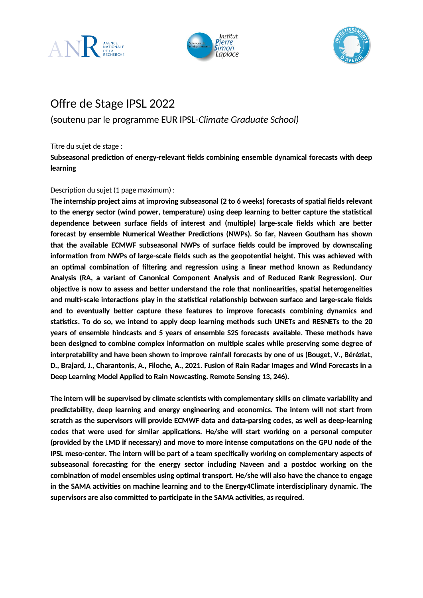





## Offre de Stage IPSL 2022

(soutenu par le programme EUR IPSL-*Climate Graduate School)*

Titre du sujet de stage :

**Subseasonal prediction of energy-relevant fields combining ensemble dynamical forecasts with deep learning**

## Description du sujet (1 page maximum) :

**The internship project aims at improving subseasonal (2 to 6 weeks) forecasts of spatial fields relevant to the energy sector (wind power, temperature) using deep learning to better capture the statistical dependence between surface fields of interest and (multiple) large-scale fields which are better forecast by ensemble Numerical Weather Predictions (NWPs). So far, Naveen Goutham has shown that the available ECMWF subseasonal NWPs of surface fields could be improved by downscaling information from NWPs of large-scale fields such as the geopotential height. This was achieved with an optimal combination of filtering and regression using a linear method known as Redundancy Analysis (RA, a variant of Canonical Component Analysis and of Reduced Rank Regression). Our objective is now to assess and better understand the role that nonlinearities, spatial heterogeneities and multi-scale interactions play in the statistical relationship between surface and large-scale fields and to eventually better capture these features to improve forecasts combining dynamics and statistics. To do so, we intend to apply deep learning methods such UNETs and RESNETs to the 20 years of ensemble hindcasts and 5 years of ensemble S2S forecasts available. These methods have been designed to combine complex information on multiple scales while preserving some degree of interpretability and have been shown to improve rainfall forecasts by one of us (Bouget, V., Béréziat, D., Brajard, J., Charantonis, A., Filoche, A., 2021. Fusion of Rain Radar Images and Wind Forecasts in a Deep Learning Model Applied to Rain Nowcasting. Remote Sensing 13, 246).**

**The intern will be supervised by climate scientists with complementary skills on climate variability and predictability, deep learning and energy engineering and economics. The intern will not start from scratch as the supervisors will provide ECMWF data and data-parsing codes, as well as deep-learning codes that were used for similar applications. He/she will start working on a personal computer (provided by the LMD if necessary) and move to more intense computations on the GPU node of the IPSL meso-center. The intern will be part of a team specifically working on complementary aspects of subseasonal forecasting for the energy sector including Naveen and a postdoc working on the combination of model ensembles using optimal transport. He/she will also have the chance to engage in the SAMA activities on machine learning and to the Energy4Climate interdisciplinary dynamic. The supervisors are also committed to participate in the SAMA activities, as required.**